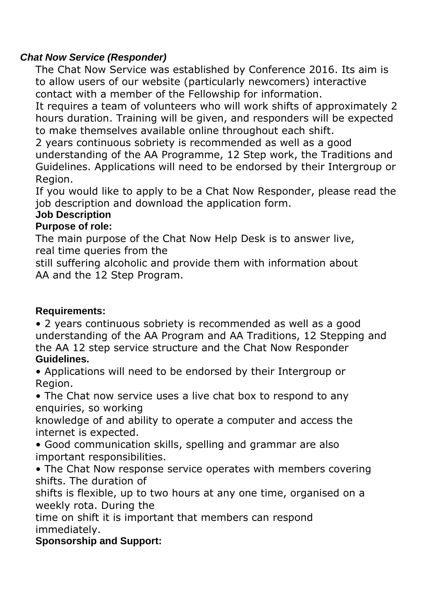## *Chat Now Service (Responder)*

The Chat Now Service was established by Conference 2016. Its aim is to allow users of our website (particularly newcomers) interactive contact with a member of the Fellowship for information.

It requires a team of volunteers who will work shifts of approximately 2 hours duration. Training will be given, and responders will be expected to make themselves available online throughout each shift.

2 years continuous sobriety is recommended as well as a good understanding of the AA Programme, 12 Step work, the Traditions and Guidelines. Applications will need to be endorsed by their Intergroup or Region.

If you would like to apply to be a Chat Now Responder, please read the job description and download the application form.

## **Job Description**

## **Purpose of role:**

The main purpose of the Chat Now Help Desk is to answer live, real time queries from the

still suffering alcoholic and provide them with information about AA and the 12 Step Program.

## **Requirements:**

• 2 years continuous sobriety is recommended as well as a good understanding of the AA Program and AA Traditions, 12 Stepping and the AA 12 step service structure and the Chat Now Responder **Guidelines.**

• Applications will need to be endorsed by their Intergroup or Region.

• The Chat now service uses a live chat box to respond to any enquiries, so working

knowledge of and ability to operate a computer and access the internet is expected.

• Good communication skills, spelling and grammar are also important responsibilities.

• The Chat Now response service operates with members covering shifts. The duration of

shifts is flexible, up to two hours at any one time, organised on a weekly rota. During the

time on shift it is important that members can respond immediately.

**Sponsorship and Support:**